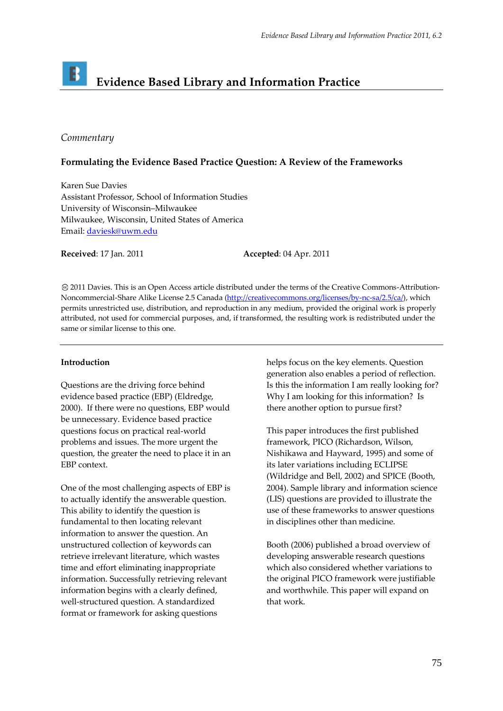## B **Evidence Based Library and Information Practice**

# *Commentary*

## **Formulating the Evidence Based Practice Question: A Review of the Frameworks**

Karen Sue Davies Assistant Professor, School of Information Studies University of Wisconsin–Milwaukee Milwaukee, Wisconsin, United States of America Email: [daviesk@uwm.edu](mailto:daviesk@uwm.edu)

**Received**: 17 Jan. 2011 **Accepted**: 04 Apr. 2011

2011 Davies. This is an Open Access article distributed under the terms of the Creative Commons-Attribution-Noncommercial-Share Alike License 2.5 Canada (http://creativecommons.org/licenses/by-nc-sa/2.5/ca/), which permits unrestricted use, distribution, and reproduction in any medium, provided the original work is properly attributed, not used for commercial purposes, and, if transformed, the resulting work is redistributed under the same or similar license to this one.

#### **Introduction**

Questions are the driving force behind evidence based practice (EBP) (Eldredge, 2000). If there were no questions, EBP would be unnecessary. Evidence based practice questions focus on practical real-world problems and issues. The more urgent the question, the greater the need to place it in an EBP context.

One of the most challenging aspects of EBP is to actually identify the answerable question. This ability to identify the question is fundamental to then locating relevant information to answer the question. An unstructured collection of keywords can retrieve irrelevant literature, which wastes time and effort eliminating inappropriate information. Successfully retrieving relevant information begins with a clearly defined, well-structured question. A standardized format or framework for asking questions

helps focus on the key elements. Question generation also enables a period of reflection. Is this the information I am really looking for? Why I am looking for this information? Is there another option to pursue first?

This paper introduces the first published framework, PICO (Richardson, Wilson, Nishikawa and Hayward, 1995) and some of its later variations including ECLIPSE (Wildridge and Bell, 2002) and SPICE (Booth, 2004). Sample library and information science (LIS) questions are provided to illustrate the use of these frameworks to answer questions in disciplines other than medicine.

Booth (2006) published a broad overview of developing answerable research questions which also considered whether variations to the original PICO framework were justifiable and worthwhile. This paper will expand on that work.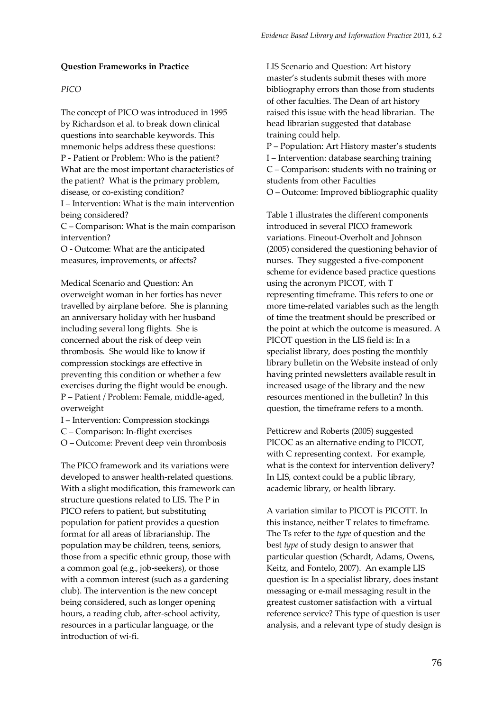#### **Question Frameworks in Practice**

## *PICO*

The concept of PICO was introduced in 1995 by Richardson et al. to break down clinical questions into searchable keywords. This mnemonic helps address these questions: P - Patient or Problem: Who is the patient? What are the most important characteristics of the patient? What is the primary problem, disease, or co-existing condition? I – Intervention: What is the main intervention being considered? C – Comparison: What is the main comparison intervention?

O - Outcome: What are the anticipated measures, improvements, or affects?

Medical Scenario and Question: An overweight woman in her forties has never travelled by airplane before. She is planning an anniversary holiday with her husband including several long flights. She is concerned about the risk of deep vein thrombosis. She would like to know if compression stockings are effective in preventing this condition or whether a few exercises during the flight would be enough. P – Patient / Problem: Female, middle-aged, overweight

- I Intervention: Compression stockings
- C Comparison: In-flight exercises
- O Outcome: Prevent deep vein thrombosis

The PICO framework and its variations were developed to answer health-related questions. With a slight modification, this framework can structure questions related to LIS. The P in PICO refers to patient, but substituting population for patient provides a question format for all areas of librarianship. The population may be children, teens, seniors, those from a specific ethnic group, those with a common goal (e.g., job-seekers), or those with a common interest (such as a gardening club). The intervention is the new concept being considered, such as longer opening hours, a reading club, after-school activity, resources in a particular language, or the introduction of wi-fi.

LIS Scenario and Question: Art history master's students submit theses with more bibliography errors than those from students of other faculties. The Dean of art history raised this issue with the head librarian. The head librarian suggested that database training could help.

P – Population: Art History master's students I – Intervention: database searching training C – Comparison: students with no training or students from other Faculties O – Outcome: Improved bibliographic quality

Table 1 illustrates the different components introduced in several PICO framework variations. Fineout-Overholt and Johnson (2005) considered the questioning behavior of nurses. They suggested a five-component scheme for evidence based practice questions using the acronym PICOT, with T representing timeframe. This refers to one or more time-related variables such as the length of time the treatment should be prescribed or the point at which the outcome is measured. A PICOT question in the LIS field is: In a specialist library, does posting the monthly library bulletin on the Website instead of only having printed newsletters available result in increased usage of the library and the new resources mentioned in the bulletin? In this question, the timeframe refers to a month.

Petticrew and Roberts (2005) suggested PICOC as an alternative ending to PICOT, with C representing context. For example, what is the context for intervention delivery? In LIS, context could be a public library, academic library, or health library.

A variation similar to PICOT is PICOTT. In this instance, neither T relates to timeframe. The Ts refer to the *type* of question and the best *type* of study design to answer that particular question (Schardt, Adams, Owens, Keitz, and Fontelo, 2007). An example LIS question is: In a specialist library, does instant messaging or e-mail messaging result in the greatest customer satisfaction with a virtual reference service? This type of question is user analysis, and a relevant type of study design is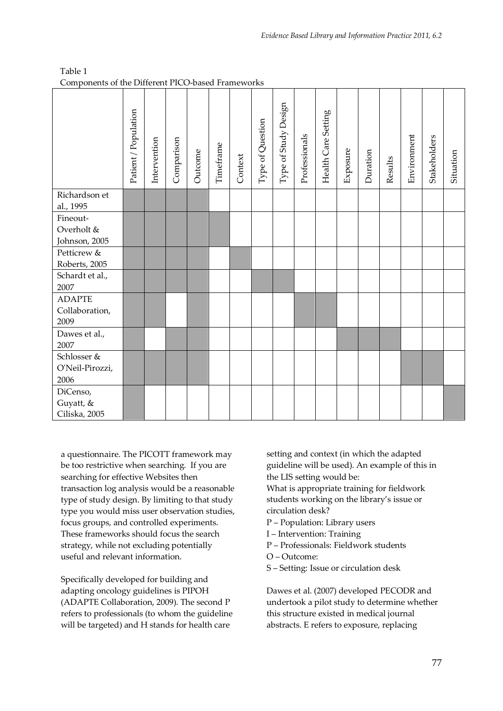| Table 1 |                                                   |
|---------|---------------------------------------------------|
|         | Components of the Different PICO-based Frameworks |

|                                         | Patient / Population | Intervention | Comparison | Outcome | Timeframe | Context | Type of Question | Type of Study Design | Professionals | Health Care Setting | Exposure | Duration | Results | Environment | Stakeholders | Situation |
|-----------------------------------------|----------------------|--------------|------------|---------|-----------|---------|------------------|----------------------|---------------|---------------------|----------|----------|---------|-------------|--------------|-----------|
| Richardson et<br>al., 1995              |                      |              |            |         |           |         |                  |                      |               |                     |          |          |         |             |              |           |
| Fineout-<br>Overholt &<br>Johnson, 2005 |                      |              |            |         |           |         |                  |                      |               |                     |          |          |         |             |              |           |
| Petticrew &<br>Roberts, 2005            |                      |              |            |         |           |         |                  |                      |               |                     |          |          |         |             |              |           |
| Schardt et al.,<br>2007                 |                      |              |            |         |           |         |                  |                      |               |                     |          |          |         |             |              |           |
| <b>ADAPTE</b><br>Collaboration,<br>2009 |                      |              |            |         |           |         |                  |                      |               |                     |          |          |         |             |              |           |
| Dawes et al.,<br>2007                   |                      |              |            |         |           |         |                  |                      |               |                     |          |          |         |             |              |           |
| Schlosser &<br>O'Neil-Pirozzi,<br>2006  |                      |              |            |         |           |         |                  |                      |               |                     |          |          |         |             |              |           |
| DiCenso,<br>Guyatt, &<br>Ciliska, 2005  |                      |              |            |         |           |         |                  |                      |               |                     |          |          |         |             |              |           |

a questionnaire. The PICOTT framework may be too restrictive when searching. If you are searching for effective Websites then transaction log analysis would be a reasonable type of study design. By limiting to that study type you would miss user observation studies, focus groups, and controlled experiments. These frameworks should focus the search strategy, while not excluding potentially useful and relevant information.

Specifically developed for building and adapting oncology guidelines is PIPOH (ADAPTE Collaboration, 2009). The second P refers to professionals (to whom the guideline will be targeted) and H stands for health care

setting and context (in which the adapted guideline will be used). An example of this in the LIS setting would be:

What is appropriate training for fieldwork students working on the library's issue or circulation desk?

- P Population: Library users
- I Intervention: Training
- P Professionals: Fieldwork students
- O Outcome:
- S Setting: Issue or circulation desk

Dawes et al. (2007) developed PECODR and undertook a pilot study to determine whether this structure existed in medical journal abstracts. E refers to exposure, replacing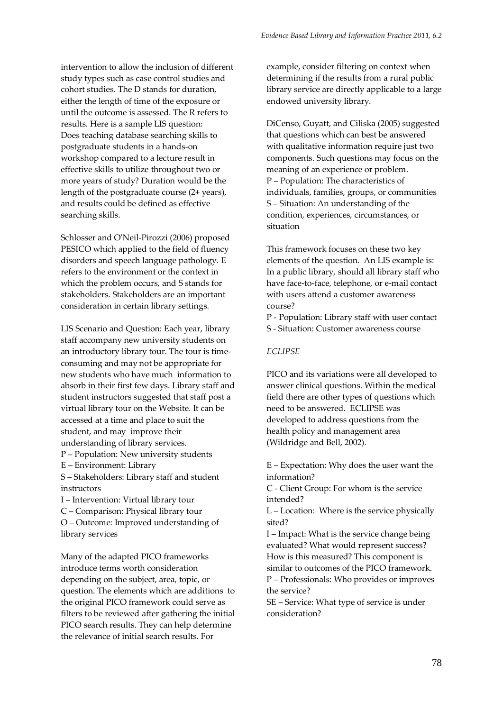intervention to allow the inclusion of different study types such as case control studies and cohort studies. The D stands for duration, either the length of time of the exposure or until the outcome is assessed. The R refers to results. Here is a sample LIS question: Does teaching database searching skills to postgraduate students in a hands-on workshop compared to a lecture result in effective skills to utilize throughout two or more years of study? Duration would be the length of the postgraduate course (2+ years), and results could be defined as effective searching skills.

Schlosser and O'Neil-Pirozzi (2006) proposed PESICO which applied to the field of fluency disorders and speech language pathology. E refers to the environment or the context in which the problem occurs, and S stands for stakeholders. Stakeholders are an important consideration in certain library settings.

LIS Scenario and Question: Each year, library staff accompany new university students on an introductory library tour. The tour is timeconsuming and may not be appropriate for new students who have much information to absorb in their first few days. Library staff and student instructors suggested that staff post a virtual library tour on the Website. It can be accessed at a time and place to suit the student, and may improve their understanding of library services. P – Population: New university students

E – Environment: Library

S – Stakeholders: Library staff and student instructors

I – Intervention: Virtual library tour C – Comparison: Physical library tour O – Outcome: Improved understanding of library services

Many of the adapted PICO frameworks introduce terms worth consideration depending on the subject, area, topic, or question. The elements which are additions to the original PICO framework could serve as filters to be reviewed after gathering the initial PICO search results. They can help determine the relevance of initial search results. For

example, consider filtering on context when determining if the results from a rural public library service are directly applicable to a large endowed university library.

DiCenso, Guyatt, and Ciliska (2005) suggested that questions which can best be answered with qualitative information require just two components. Such questions may focus on the meaning of an experience or problem. P – Population: The characteristics of individuals, families, groups, or communities S – Situation: An understanding of the condition, experiences, circumstances, or situation

This framework focuses on these two key elements of the question. An LIS example is: In a public library, should all library staff who have face-to-face, telephone, or e-mail contact with users attend a customer awareness course?

P - Population: Library staff with user contact S - Situation: Customer awareness course

## *ECLIPSE*

PICO and its variations were all developed to answer clinical questions. Within the medical field there are other types of questions which need to be answered. ECLIPSE was developed to address questions from the health policy and management area (Wildridge and Bell, 2002).

E – Expectation: Why does the user want the information?

C - Client Group: For whom is the service intended?

L – Location: Where is the service physically sited?

I – Impact: What is the service change being evaluated? What would represent success? How is this measured? This component is similar to outcomes of the PICO framework.

P – Professionals: Who provides or improves the service?

SE – Service: What type of service is under consideration?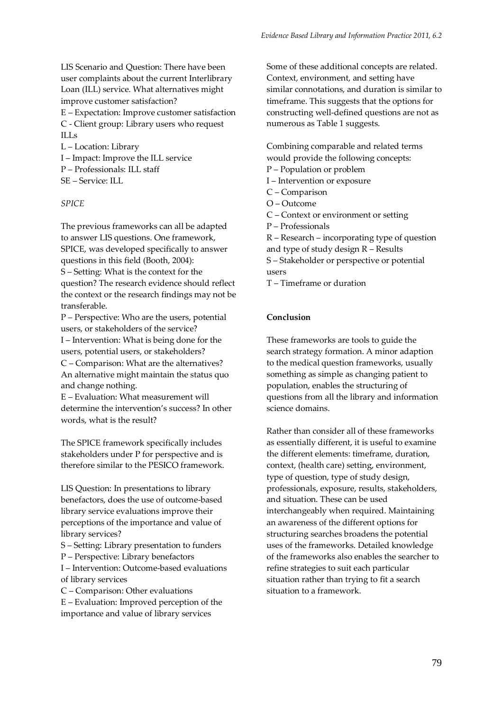LIS Scenario and Question: There have been user complaints about the current Interlibrary Loan (ILL) service. What alternatives might improve customer satisfaction?

E – Expectation: Improve customer satisfaction

C - Client group: Library users who request ILLs

- L Location: Library
- I Impact: Improve the ILL service
- P Professionals: ILL staff
- SE Service: ILL

#### *SPICE*

The previous frameworks can all be adapted to answer LIS questions. One framework, SPICE, was developed specifically to answer questions in this field (Booth, 2004): S – Setting: What is the context for the question? The research evidence should reflect the context or the research findings may not be transferable.

P – Perspective: Who are the users, potential users, or stakeholders of the service? I – Intervention: What is being done for the users, potential users, or stakeholders? C – Comparison: What are the alternatives? An alternative might maintain the status quo and change nothing.

E – Evaluation: What measurement will determine the intervention's success? In other words, what is the result?

The SPICE framework specifically includes stakeholders under P for perspective and is therefore similar to the PESICO framework.

LIS Question: In presentations to library benefactors, does the use of outcome-based library service evaluations improve their perceptions of the importance and value of library services?

- S Setting: Library presentation to funders
- P Perspective: Library benefactors

I – Intervention: Outcome-based evaluations of library services

- C Comparison: Other evaluations
- E Evaluation: Improved perception of the importance and value of library services

Some of these additional concepts are related. Context, environment, and setting have similar connotations, and duration is similar to timeframe. This suggests that the options for constructing well-defined questions are not as numerous as Table 1 suggests.

Combining comparable and related terms would provide the following concepts:

- P Population or problem
- I Intervention or exposure
- C Comparison
- O Outcome
- C Context or environment or setting
- P Professionals
- R Research incorporating type of question
- and type of study design R Results

S – Stakeholder or perspective or potential users

T – Timeframe or duration

# **Conclusion**

These frameworks are tools to guide the search strategy formation. A minor adaption to the medical question frameworks, usually something as simple as changing patient to population, enables the structuring of questions from all the library and information science domains.

Rather than consider all of these frameworks as essentially different, it is useful to examine the different elements: timeframe, duration, context, (health care) setting, environment, type of question, type of study design, professionals, exposure, results, stakeholders, and situation. These can be used interchangeably when required. Maintaining an awareness of the different options for structuring searches broadens the potential uses of the frameworks. Detailed knowledge of the frameworks also enables the searcher to refine strategies to suit each particular situation rather than trying to fit a search situation to a framework.